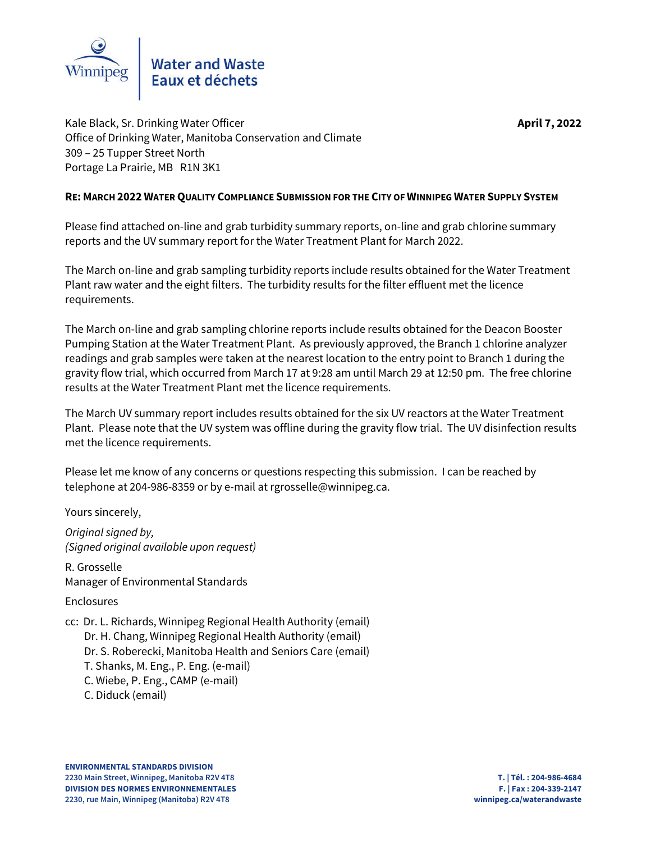

Kale Black, Sr. Drinking Water Officer **April April 7, 2022** Office of Drinking Water, Manitoba Conservation and Climate 309 – 25 Tupper Street North Portage La Prairie, MB R1N 3K1

# **RE: MARCH 2022 WATER QUALITY COMPLIANCE SUBMISSION FOR THE CITY OF WINNIPEG WATER SUPPLY SYSTEM**

Please find attached on-line and grab turbidity summary reports, on-line and grab chlorine summary reports and the UV summary report for the Water Treatment Plant for March 2022.

The March on-line and grab sampling turbidity reports include results obtained for the Water Treatment Plant raw water and the eight filters. The turbidity results for the filter effluent met the licence requirements.

The March on-line and grab sampling chlorine reports include results obtained for the Deacon Booster Pumping Station at the Water Treatment Plant. As previously approved, the Branch 1 chlorine analyzer readings and grab samples were taken at the nearest location to the entry point to Branch 1 during the gravity flow trial, which occurred from March 17 at 9:28 am until March 29 at 12:50 pm. The free chlorine results at the Water Treatment Plant met the licence requirements.

The March UV summary report includes results obtained for the six UV reactors at the Water Treatment Plant. Please note that the UV system was offline during the gravity flow trial. The UV disinfection results met the licence requirements.

Please let me know of any concerns or questions respecting this submission. I can be reached by telephone at 204-986-8359 or by e-mail at rgrosselle@winnipeg.ca.

Yours sincerely,

*Original signed by, (Signed original available upon request)*

R. Grosselle Manager of Environmental Standards

Enclosures

cc: Dr. L. Richards, Winnipeg Regional Health Authority (email) Dr. H. Chang, Winnipeg Regional Health Authority (email) Dr. S. Roberecki, Manitoba Health and Seniors Care (email) T. Shanks, M. Eng., P. Eng. (e-mail) C. Wiebe, P. Eng., CAMP (e-mail) C. Diduck (email)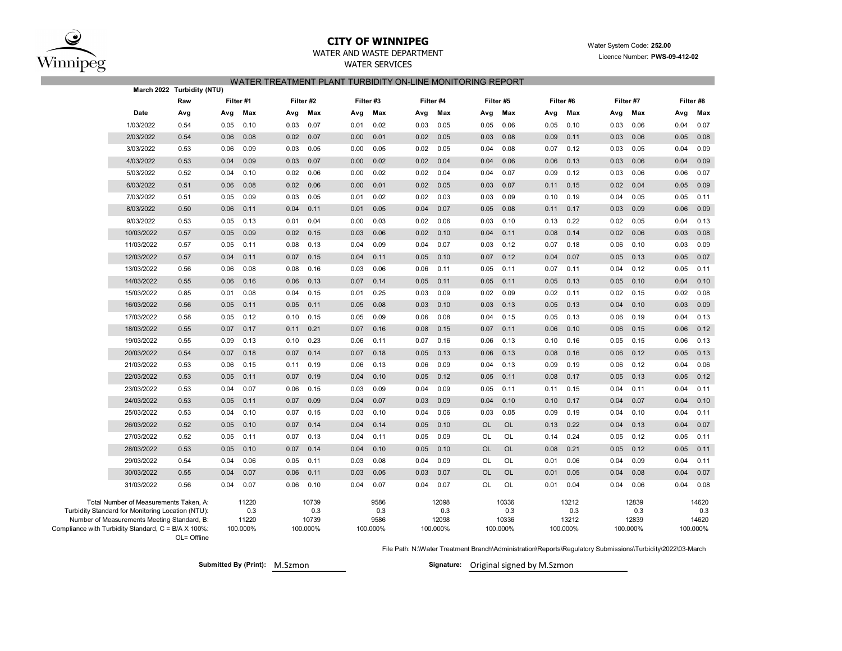

# **CITY OF WINNIPEG** WATER WATER WATER System Code: 252.00

## WATER AND WASTE DEPARTMENT **EXAMPLE 2021** Licence Number: **PWS-09-412-02**

WATER SERVICES

### WATER TREATMENT PLANT TURBIDITY ON-LINE MONITORING REPORT

|                                                                                                 | March 2022 Turbidity (NTU) |      |                   |      |                   |      |                  |      |                   |           |                   |      |                   |      |                   |      |                   |
|-------------------------------------------------------------------------------------------------|----------------------------|------|-------------------|------|-------------------|------|------------------|------|-------------------|-----------|-------------------|------|-------------------|------|-------------------|------|-------------------|
|                                                                                                 | Raw                        |      | Filter #1         |      | Filter #2         |      | Filter #3        |      | Filter #4         |           | Filter #5         |      | Filter #6         |      | Filter #7         |      | Filter #8         |
| Date                                                                                            | Avg                        | Avg  | Max               | Avg  | Max               | Avg  | Max              | Avg  | Max               | Avg       | Max               | Avg  | Max               | Avg  | Max               | Avg  | Max               |
| 1/03/2022                                                                                       | 0.54                       | 0.05 | 0.10              | 0.03 | 0.07              | 0.01 | 0.02             | 0.03 | 0.05              | 0.05      | 0.06              | 0.05 | 0.10              | 0.03 | 0.06              | 0.04 | 0.07              |
| 2/03/2022                                                                                       | 0.54                       | 0.06 | 0.08              | 0.02 | 0.07              | 0.00 | 0.01             | 0.02 | 0.05              | 0.03      | 0.08              | 0.09 | 0.11              | 0.03 | 0.06              | 0.05 | 0.08              |
| 3/03/2022                                                                                       | 0.53                       | 0.06 | 0.09              | 0.03 | 0.05              | 0.00 | 0.05             | 0.02 | 0.05              | 0.04      | 0.08              | 0.07 | 0.12              | 0.03 | 0.05              | 0.04 | 0.09              |
| 4/03/2022                                                                                       | 0.53                       | 0.04 | 0.09              | 0.03 | 0.07              | 0.00 | 0.02             | 0.02 | 0.04              | 0.04      | 0.06              | 0.06 | 0.13              | 0.03 | 0.06              | 0.04 | 0.09              |
| 5/03/2022                                                                                       | 0.52                       | 0.04 | 0.10              | 0.02 | 0.06              | 0.00 | 0.02             | 0.02 | 0.04              | 0.04      | 0.07              | 0.09 | 0.12              | 0.03 | 0.06              | 0.06 | 0.07              |
| 6/03/2022                                                                                       | 0.51                       | 0.06 | 0.08              | 0.02 | 0.06              | 0.00 | 0.01             | 0.02 | 0.05              | 0.03      | 0.07              | 0.11 | 0.15              | 0.02 | 0.04              | 0.05 | 0.09              |
| 7/03/2022                                                                                       | 0.51                       | 0.05 | 0.09              | 0.03 | 0.05              | 0.01 | 0.02             | 0.02 | 0.03              | 0.03      | 0.09              | 0.10 | 0.19              | 0.04 | 0.05              | 0.05 | 0.11              |
| 8/03/2022                                                                                       | 0.50                       | 0.06 | 0.11              | 0.04 | 0.11              | 0.01 | 0.05             | 0.04 | 0.07              | 0.05      | 0.08              | 0.11 | 0.17              | 0.03 | 0.09              | 0.06 | 0.09              |
| 9/03/2022                                                                                       | 0.53                       | 0.05 | 0.13              | 0.01 | 0.04              | 0.00 | 0.03             | 0.02 | 0.06              | 0.03      | 0.10              | 0.13 | 0.22              | 0.02 | 0.05              | 0.04 | 0.13              |
| 10/03/2022                                                                                      | 0.57                       | 0.05 | 0.09              | 0.02 | 0.15              | 0.03 | 0.06             | 0.02 | 0.10              | 0.04      | 0.11              | 0.08 | 0.14              | 0.02 | 0.06              | 0.03 | 0.08              |
| 11/03/2022                                                                                      | 0.57                       | 0.05 | 0.11              | 0.08 | 0.13              | 0.04 | 0.09             | 0.04 | 0.07              | 0.03      | 0.12              | 0.07 | 0.18              | 0.06 | 0.10              | 0.03 | 0.09              |
| 12/03/2022                                                                                      | 0.57                       | 0.04 | 0.11              | 0.07 | 0.15              | 0.04 | 0.11             | 0.05 | 0.10              | 0.07      | 0.12              | 0.04 | 0.07              | 0.05 | 0.13              | 0.05 | 0.07              |
| 13/03/2022                                                                                      | 0.56                       | 0.06 | 0.08              | 0.08 | 0.16              | 0.03 | 0.06             | 0.06 | 0.11              | 0.05      | 0.11              | 0.07 | 0.11              | 0.04 | 0.12              | 0.05 | 0.11              |
| 14/03/2022                                                                                      | 0.55                       | 0.06 | 0.16              | 0.06 | 0.13              | 0.07 | 0.14             | 0.05 | 0.11              | 0.05      | 0.11              | 0.05 | 0.13              | 0.05 | 0.10              | 0.04 | 0.10              |
| 15/03/2022                                                                                      | 0.85                       | 0.01 | 0.08              | 0.04 | 0.15              | 0.01 | 0.25             | 0.03 | 0.09              | 0.02      | 0.09              | 0.02 | 0.11              | 0.02 | 0.15              | 0.02 | 0.08              |
| 16/03/2022                                                                                      | 0.56                       | 0.05 | 0.11              | 0.05 | 0.11              | 0.05 | 0.08             | 0.03 | 0.10              | 0.03      | 0.13              | 0.05 | 0.13              | 0.04 | 0.10              | 0.03 | 0.09              |
| 17/03/2022                                                                                      | 0.58                       | 0.05 | 0.12              | 0.10 | 0.15              | 0.05 | 0.09             | 0.06 | 0.08              | 0.04      | 0.15              | 0.05 | 0.13              | 0.06 | 0.19              | 0.04 | 0.13              |
| 18/03/2022                                                                                      | 0.55                       | 0.07 | 0.17              | 0.11 | 0.21              | 0.07 | 0.16             | 0.08 | 0.15              | 0.07      | 0.11              | 0.06 | 0.10              | 0.06 | 0.15              | 0.06 | 0.12              |
| 19/03/2022                                                                                      | 0.55                       | 0.09 | 0.13              | 0.10 | 0.23              | 0.06 | 0.11             | 0.07 | 0.16              | 0.06      | 0.13              | 0.10 | 0.16              | 0.05 | 0.15              | 0.06 | 0.13              |
| 20/03/2022                                                                                      | 0.54                       | 0.07 | 0.18              | 0.07 | 0.14              | 0.07 | 0.18             | 0.05 | 0.13              | 0.06      | 0.13              | 0.08 | 0.16              | 0.06 | 0.12              | 0.05 | 0.13              |
| 21/03/2022                                                                                      | 0.53                       | 0.06 | 0.15              | 0.11 | 0.19              | 0.06 | 0.13             | 0.06 | 0.09              | 0.04      | 0.13              | 0.09 | 0.19              | 0.06 | 0.12              | 0.04 | 0.06              |
| 22/03/2022                                                                                      | 0.53                       | 0.05 | 0.11              | 0.07 | 0.19              | 0.04 | 0.10             | 0.05 | 0.12              | 0.05      | 0.11              | 0.08 | 0.17              | 0.05 | 0.13              | 0.05 | 0.12              |
| 23/03/2022                                                                                      | 0.53                       | 0.04 | 0.07              | 0.06 | 0.15              | 0.03 | 0.09             | 0.04 | 0.09              | 0.05      | 0.11              | 0.11 | 0.15              | 0.04 | 0.11              | 0.04 | 0.11              |
| 24/03/2022                                                                                      | 0.53                       | 0.05 | 0.11              | 0.07 | 0.09              | 0.04 | 0.07             | 0.03 | 0.09              | 0.04      | 0.10              | 0.10 | 0.17              | 0.04 | 0.07              | 0.04 | 0.10              |
| 25/03/2022                                                                                      | 0.53                       | 0.04 | 0.10              | 0.07 | 0.15              | 0.03 | 0.10             | 0.04 | 0.06              | 0.03      | 0.05              | 0.09 | 0.19              | 0.04 | 0.10              | 0.04 | 0.11              |
| 26/03/2022                                                                                      | 0.52                       | 0.05 | 0.10              | 0.07 | 0.14              | 0.04 | 0.14             | 0.05 | 0.10              | <b>OL</b> | <b>OL</b>         | 0.13 | 0.22              | 0.04 | 0.13              | 0.04 | 0.07              |
| 27/03/2022                                                                                      | 0.52                       | 0.05 | 0.11              | 0.07 | 0.13              | 0.04 | 0.11             | 0.05 | 0.09              | OL        | OL                | 0.14 | 0.24              | 0.05 | 0.12              | 0.05 | 0.11              |
| 28/03/2022                                                                                      | 0.53                       | 0.05 | 0.10              | 0.07 | 0.14              | 0.04 | 0.10             | 0.05 | 0.10              | <b>OL</b> | <b>OL</b>         | 0.08 | 0.21              | 0.05 | 0.12              | 0.05 | 0.11              |
| 29/03/2022                                                                                      | 0.54                       | 0.04 | 0.06              | 0.05 | 0.11              | 0.03 | 0.08             | 0.04 | 0.09              | OL        | OL                | 0.01 | 0.06              | 0.04 | 0.09              | 0.04 | 0.11              |
| 30/03/2022                                                                                      | 0.55                       | 0.04 | 0.07              | 0.06 | 0.11              | 0.03 | 0.05             | 0.03 | 0.07              | <b>OL</b> | <b>OL</b>         | 0.01 | 0.05              | 0.04 | 0.08              | 0.04 | 0.07              |
| 31/03/2022                                                                                      | 0.56                       | 0.04 | 0.07              | 0.06 | 0.10              | 0.04 | 0.07             | 0.04 | 0.07              | OL        | OL                | 0.01 | 0.04              | 0.04 | 0.06              | 0.04 | 0.08              |
| Total Number of Measurements Taken, A:<br>Turbidity Standard for Monitoring Location (NTU):     |                            |      | 11220<br>0.3      |      | 10739<br>0.3      |      | 9586<br>0.3      |      | 12098<br>0.3      |           | 10336<br>0.3      |      | 13212<br>0.3      |      | 12839<br>0.3      |      | 14620<br>0.3      |
| Number of Measurements Meeting Standard, B:<br>pliance with Turbidity Standard, C = B/A X 100%: |                            |      | 11220<br>100.000% |      | 10739<br>100.000% |      | 9586<br>100.000% |      | 12098<br>100.000% |           | 10336<br>100.000% |      | 13212<br>100.000% |      | 12839<br>100.000% |      | 14620<br>100.000% |

OL= Offline Compliance with

File Path: N:\Water Treatment Branch\Administration\Reports\Regulatory Submissions\Turbidity\2022\03-March

**Submitted By (Print):** M.Szmon **Signature:** Original signed by M.Szmon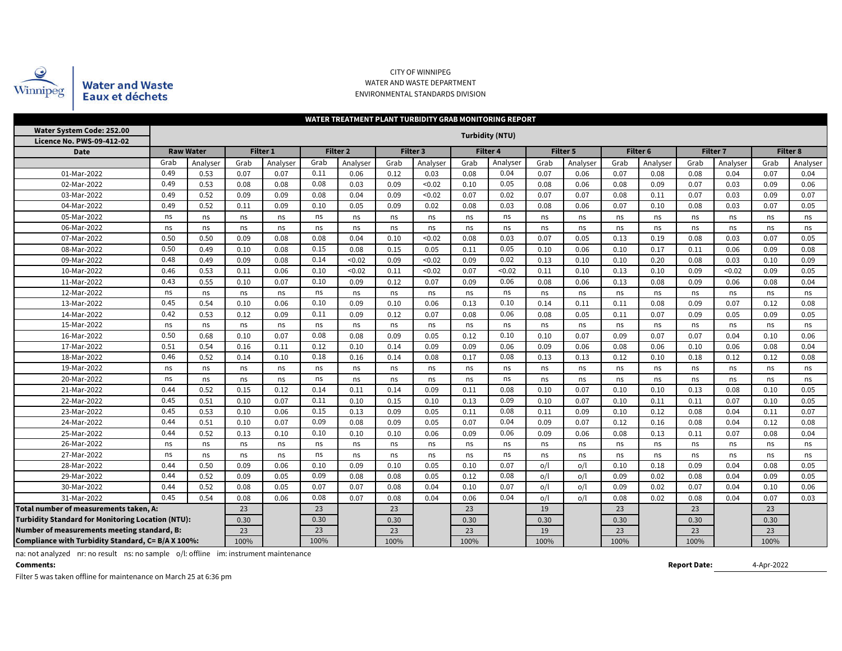

### CITY OF WINNIPEG WATER AND WASTE DEPARTMENT ENVIRONMENTAL STANDARDS DIVISION

| WATER TREATMENT PLANT TURBIDITY GRAB MONITORING REPORT   |              |                  |      |                 |      |                 |      |          |      |                        |      |          |      |                  |      |                 |      |          |
|----------------------------------------------------------|--------------|------------------|------|-----------------|------|-----------------|------|----------|------|------------------------|------|----------|------|------------------|------|-----------------|------|----------|
| Water System Code: 252.00                                |              |                  |      |                 |      |                 |      |          |      | <b>Turbidity (NTU)</b> |      |          |      |                  |      |                 |      |          |
| Licence No. PWS-09-412-02<br><b>Date</b>                 |              | <b>Raw Water</b> |      | <b>Filter 1</b> |      | <b>Filter 2</b> |      | Filter 3 |      | Filter 4               |      | Filter 5 |      | Filter 6         |      | <b>Filter 7</b> |      | Filter 8 |
|                                                          | Grab         |                  | Grab | Analyser        | Grab | Analyser        | Grab | Analyser | Grab | Analyser               | Grab | Analyser | Grab |                  | Grab | Analyser        | Grab | Analyser |
| 01-Mar-2022                                              | 0.49         | Analyser<br>0.53 | 0.07 | 0.07            | 0.11 | 0.06            | 0.12 | 0.03     | 0.08 | 0.04                   | 0.07 | 0.06     | 0.07 | Analyser<br>0.08 | 0.08 | 0.04            | 0.07 | 0.04     |
| 02-Mar-2022                                              | 0.49         | 0.53             | 0.08 | 0.08            | 0.08 | 0.03            | 0.09 | < 0.02   | 0.10 | 0.05                   | 0.08 | 0.06     | 0.08 | 0.09             | 0.07 | 0.03            | 0.09 | 0.06     |
| 03-Mar-2022                                              | 0.49         | 0.52             | 0.09 | 0.09            | 0.08 | 0.04            | 0.09 | < 0.02   | 0.07 | 0.02                   | 0.07 | 0.07     | 0.08 | 0.11             | 0.07 | 0.03            | 0.09 | 0.07     |
| 04-Mar-2022                                              | 0.49         | 0.52             | 0.11 | 0.09            | 0.10 | 0.05            | 0.09 | 0.02     | 0.08 | 0.03                   | 0.08 | 0.06     | 0.07 | 0.10             | 0.08 | 0.03            | 0.07 | 0.05     |
| 05-Mar-2022                                              | ns           | ns               | ns   | ns              | ns   | ns              | ns   | ns       | ns   | ns                     | ns   | ns       | ns   | ns               | ns   | ns              | ns   | ns       |
| 06-Mar-2022                                              | ns           | ns               | ns   | ns              | ns   | ns              | ns   | ns       | ns   | ns                     | ns   | ns       | ns   | ns               | ns   | ns              | ns   | ns       |
| 07-Mar-2022                                              | 0.50         | 0.50             | 0.09 | 0.08            | 0.08 | 0.04            | 0.10 | < 0.02   | 0.08 | 0.03                   | 0.07 | 0.05     | 0.13 | 0.19             | 0.08 | 0.03            | 0.07 | 0.05     |
| 08-Mar-2022                                              | 0.50         | 0.49             | 0.10 | 0.08            | 0.15 | 0.08            | 0.15 | 0.05     | 0.11 | 0.05                   | 0.10 | 0.06     | 0.10 | 0.17             | 0.11 | 0.06            | 0.09 | 0.08     |
| 09-Mar-2022                                              | 0.48         | 0.49             | 0.09 | 0.08            | 0.14 | < 0.02          | 0.09 | < 0.02   | 0.09 | 0.02                   | 0.13 | 0.10     | 0.10 | 0.20             | 0.08 | 0.03            | 0.10 | 0.09     |
| 10-Mar-2022                                              | 0.46         | 0.53             | 0.11 | 0.06            | 0.10 | < 0.02          | 0.11 | < 0.02   | 0.07 | < 0.02                 | 0.11 | 0.10     | 0.13 | 0.10             | 0.09 | < 0.02          | 0.09 | 0.05     |
| 11-Mar-2022                                              | 0.43         | 0.55             | 0.10 | 0.07            | 0.10 | 0.09            | 0.12 | 0.07     | 0.09 | 0.06                   | 0.08 | 0.06     | 0.13 | 0.08             | 0.09 | 0.06            | 0.08 | 0.04     |
| 12-Mar-2022                                              | ns           | ns               | ns   | ns              | ns   | ns              | ns   | ns       | ns   | ns                     | ns   | ns       | ns   | ns               | ns   | ns              | ns   | ns       |
| 13-Mar-2022                                              | 0.45         | 0.54             | 0.10 | 0.06            | 0.10 | 0.09            | 0.10 | 0.06     | 0.13 | 0.10                   | 0.14 | 0.11     | 0.11 | 0.08             | 0.09 | 0.07            | 0.12 | 0.08     |
| 14-Mar-2022                                              | 0.42         | 0.53             | 0.12 | 0.09            | 0.11 | 0.09            | 0.12 | 0.07     | 0.08 | 0.06                   | 0.08 | 0.05     | 0.11 | 0.07             | 0.09 | 0.05            | 0.09 | 0.05     |
| 15-Mar-2022                                              | ns           | ns               | ns   | ns              | ns   | ns              | ns   | ns       | ns   | ns                     | ns   | ns       | ns   | ns               | ns   | ns              | ns   | ns       |
| 16-Mar-2022                                              | 0.50         | 0.68             | 0.10 | 0.07            | 0.08 | 0.08            | 0.09 | 0.05     | 0.12 | 0.10                   | 0.10 | 0.07     | 0.09 | 0.07             | 0.07 | 0.04            | 0.10 | 0.06     |
| 17-Mar-2022                                              | 0.51         | 0.54             | 0.16 | 0.11            | 0.12 | 0.10            | 0.14 | 0.09     | 0.09 | 0.06                   | 0.09 | 0.06     | 0.08 | 0.06             | 0.10 | 0.06            | 0.08 | 0.04     |
| 18-Mar-2022                                              | 0.46         | 0.52             | 0.14 | 0.10            | 0.18 | 0.16            | 0.14 | 0.08     | 0.17 | 0.08                   | 0.13 | 0.13     | 0.12 | 0.10             | 0.18 | 0.12            | 0.12 | 0.08     |
| 19-Mar-2022                                              | ns           | ns               | ns   | ns              | ns   | ns              | ns   | ns       | ns   | ns                     | ns   | ns       | ns   | ns               | ns   | ns              | ns   | ns       |
| 20-Mar-2022                                              | ns           | ns               | ns   | ns              | ns   | ns              | ns   | ns       | ns   | ns                     | ns   | ns       | ns   | ns               | ns   | ns              | ns   | ns       |
| 21-Mar-2022                                              | 0.44         | 0.52             | 0.15 | 0.12            | 0.14 | 0.11            | 0.14 | 0.09     | 0.11 | 0.08                   | 0.10 | 0.07     | 0.10 | 0.10             | 0.13 | 0.08            | 0.10 | 0.05     |
| 22-Mar-2022                                              | 0.45         | 0.51             | 0.10 | 0.07            | 0.11 | 0.10            | 0.15 | 0.10     | 0.13 | 0.09                   | 0.10 | 0.07     | 0.10 | 0.11             | 0.11 | 0.07            | 0.10 | 0.05     |
| 23-Mar-2022                                              | 0.45         | 0.53             | 0.10 | 0.06            | 0.15 | 0.13            | 0.09 | 0.05     | 0.11 | 0.08                   | 0.11 | 0.09     | 0.10 | 0.12             | 0.08 | 0.04            | 0.11 | 0.07     |
| 24-Mar-2022                                              | 0.44         | 0.51             | 0.10 | 0.07            | 0.09 | 0.08            | 0.09 | 0.05     | 0.07 | 0.04                   | 0.09 | 0.07     | 0.12 | 0.16             | 0.08 | 0.04            | 0.12 | 0.08     |
| 25-Mar-2022                                              | 0.44         | 0.52             | 0.13 | 0.10            | 0.10 | 0.10            | 0.10 | 0.06     | 0.09 | 0.06                   | 0.09 | 0.06     | 0.08 | 0.13             | 0.11 | 0.07            | 0.08 | 0.04     |
| 26-Mar-2022                                              | ns           | ns               | ns   | ns              | ns   | ns              | ns   | ns       | ns   | ns                     | ns   | ns       | ns   | ns               | ns   | ns              | ns   | ns       |
| 27-Mar-2022                                              | ns           | ns               | ns   | ns              | ns   | ns              | ns   | ns       | ns   | ns                     | ns   | ns       | ns   | ns               | ns   | ns              | ns   | ns       |
| 28-Mar-2022                                              | 0.44         | 0.50             | 0.09 | 0.06            | 0.10 | 0.09            | 0.10 | 0.05     | 0.10 | 0.07                   | o/l  | o/l      | 0.10 | 0.18             | 0.09 | 0.04            | 0.08 | 0.05     |
| 29-Mar-2022                                              | 0.44         | 0.52             | 0.09 | 0.05            | 0.09 | 0.08            | 0.08 | 0.05     | 0.12 | 0.08                   | o/l  | o/l      | 0.09 | 0.02             | 0.08 | 0.04            | 0.09 | 0.05     |
| 30-Mar-2022                                              | 0.44<br>0.45 | 0.52             | 0.08 | 0.05            | 0.07 | 0.07            | 0.08 | 0.04     | 0.10 | 0.07                   | o/l  | o/l      | 0.09 | 0.02             | 0.07 | 0.04            | 0.10 | 0.06     |
| 31-Mar-2022                                              | 0.54         | 0.08             | 0.06 | 0.08            | 0.07 | 0.08            | 0.04 | 0.06     | 0.04 | o/l                    | o/l  | 0.08     | 0.02 | 0.08             | 0.04 | 0.07            | 0.03 |          |
| Total number of measurements taken, A:                   |              | 23               |      | 23              |      | 23              |      | 23       |      | 19                     |      | 23       |      | 23               |      | 23              |      |          |
| <b>Turbidity Standard for Monitoring Location (NTU):</b> |              | 0.30             |      | 0.30            |      | 0.30            |      | 0.30     |      | 0.30                   |      | 0.30     |      | 0.30             |      | 0.30            |      |          |
| Number of measurements meeting standard, B:              |              | 23               |      | 23              |      | 23              |      | 23       |      | 19                     |      | 23       |      | 23               |      | 23              |      |          |
| Compliance with Turbidity Standard, C= B/A X 100%:       |              | 100%             |      | 100%            |      | 100%            |      | 100%     |      | 100%                   |      | 100%     |      | 100%             |      | 100%            |      |          |

na: not analyzed nr: no result ns: no sample o/l: offline im: instrument maintenance

**Comments:**

Filter 5 was taken offline for maintenance on March 25 at 6:36 pm

**Report Date:**

4-Apr-2022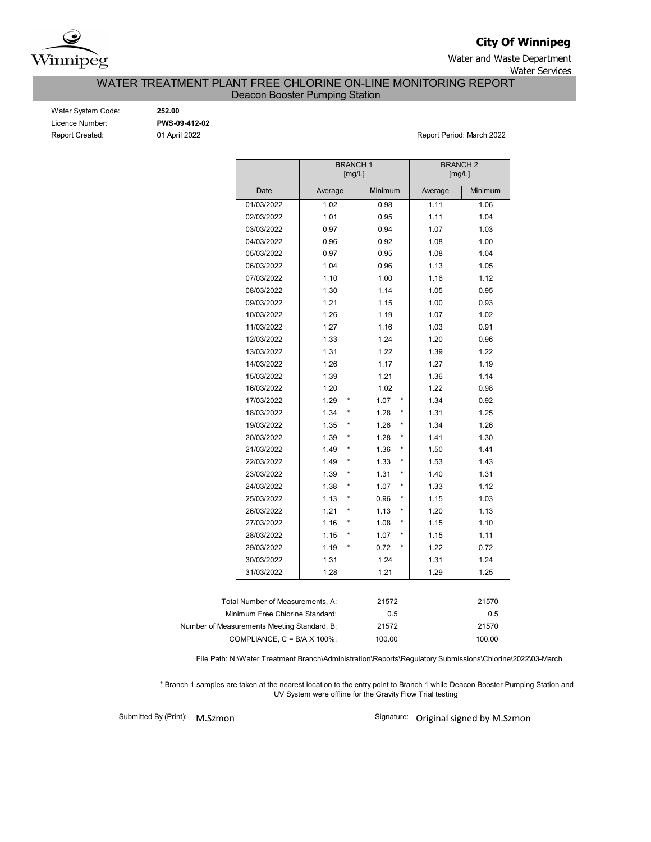

**City Of Winnipeg**

Water and Waste Department Water Services

WATER TREATMENT PLANT FREE CHLORINE ON-LINE MONITORING REPORT

Deacon Booster Pumping Station

| Water System Code:     |
|------------------------|
| Licence Number:        |
| <b>Report Created:</b> |

Water System Code: **252.00** Licence Number: **PWS-09-412-02**

Report Created: 01 April 2022 Report Period: March 2022

|                                             |         | [mg/L] | <b>BRANCH1</b> |         |         | <b>BRANCH2</b><br>[mg/L] |  |  |  |  |
|---------------------------------------------|---------|--------|----------------|---------|---------|--------------------------|--|--|--|--|
| Date                                        | Average |        | Minimum        |         | Average | Minimum                  |  |  |  |  |
| 01/03/2022                                  | 1.02    |        | 0.98           |         | 1.11    | 1.06                     |  |  |  |  |
| 02/03/2022                                  | 1.01    |        | 0.95           |         | 1.11    | 1.04                     |  |  |  |  |
| 03/03/2022                                  | 0.97    |        | 0.94           |         | 1.07    | 1.03                     |  |  |  |  |
| 04/03/2022                                  | 0.96    |        | 0.92           |         | 1.08    | 1.00                     |  |  |  |  |
| 05/03/2022                                  | 0.97    |        | 0.95           |         | 1.08    | 1.04                     |  |  |  |  |
| 06/03/2022                                  | 1.04    |        | 0.96           |         | 1.13    | 1.05                     |  |  |  |  |
| 07/03/2022                                  | 1.10    |        | 1.00           |         | 1.16    | 1.12                     |  |  |  |  |
| 08/03/2022                                  | 1.30    |        | 1.14           |         | 1.05    | 0.95                     |  |  |  |  |
| 09/03/2022                                  | 1.21    |        | 1.15           |         | 1.00    | 0.93                     |  |  |  |  |
| 10/03/2022                                  | 1.26    |        | 1.19           |         | 1.07    | 1.02                     |  |  |  |  |
| 11/03/2022                                  | 1.27    |        | 1.16           |         | 1.03    | 0.91                     |  |  |  |  |
| 12/03/2022                                  | 1.33    |        | 1.24           |         | 1.20    | 0.96                     |  |  |  |  |
| 13/03/2022                                  | 1.31    |        | 1.22           |         | 1.39    | 1.22                     |  |  |  |  |
| 14/03/2022                                  | 1.26    |        | 1.17           |         | 1.27    | 1.19                     |  |  |  |  |
| 15/03/2022                                  | 1.39    |        | 1.21           |         | 1.36    | 1.14                     |  |  |  |  |
| 16/03/2022                                  | 1.20    |        | 1.02           |         | 1.22    | 0.98                     |  |  |  |  |
| 17/03/2022                                  | 1.29    |        | 1.07           |         | 1.34    | 0.92                     |  |  |  |  |
| 18/03/2022                                  | 1.34    |        | 1.28           | *       | 1.31    | 1.25                     |  |  |  |  |
| 19/03/2022                                  | 1.35    |        | 1.26           | *       | 1.34    | 1.26                     |  |  |  |  |
| 20/03/2022                                  | 1.39    |        | 1.28           | *       | 1.41    | 1.30                     |  |  |  |  |
| 21/03/2022                                  | 1.49    |        | 1.36           | $\star$ | 1.50    | 1.41                     |  |  |  |  |
| 22/03/2022                                  | 1.49    | *      | 1.33           | *       | 1.53    | 1.43                     |  |  |  |  |
| 23/03/2022                                  | 1.39    |        | 1.31           | *       | 1.40    | 1.31                     |  |  |  |  |
| 24/03/2022                                  | 1.38    |        | 1.07           | *       | 1.33    | 1.12                     |  |  |  |  |
| 25/03/2022                                  | 1.13    |        | 0.96           | *       | 1.15    | 1.03                     |  |  |  |  |
| 26/03/2022                                  | 1.21    |        | 1.13           | *       | 1.20    | 1.13                     |  |  |  |  |
| 27/03/2022                                  | 1.16    |        | 1.08           | *       | 1.15    | 1.10                     |  |  |  |  |
| 28/03/2022                                  | 1.15    |        | 1.07           | *       | 1.15    | 1.11                     |  |  |  |  |
| 29/03/2022                                  | 1.19    |        | 0.72           | *       | 1.22    | 0.72                     |  |  |  |  |
| 30/03/2022                                  | 1.31    |        | 1.24           |         | 1.31    | 1.24                     |  |  |  |  |
| 31/03/2022                                  | 1.28    |        | 1.21           |         | 1.29    | 1.25                     |  |  |  |  |
|                                             |         |        |                |         |         |                          |  |  |  |  |
| Total Number of Measurements, A:            |         |        | 21572          |         |         | 21570                    |  |  |  |  |
| Minimum Free Chlorine Standard:             |         |        | 0.5            |         |         | 0.5                      |  |  |  |  |
| Number of Measurements Meeting Standard, B: |         |        | 21572          |         |         | 21570                    |  |  |  |  |
| COMPLIANCE, C = B/A X 100%:                 |         |        | 100.00         |         | 100.00  |                          |  |  |  |  |

File Path: N:\Water Treatment Branch\Administration\Reports\Regulatory Submissions\Chlorine\2022\03-March

 \* Branch 1 samples are taken at the nearest location to the entry point to Branch 1 while Deacon Booster Pumping Station and UV System were offline for the Gravity Flow Trial testing

Submitted By (Print): M.Szmon

Signature: Original signed by M.Szmon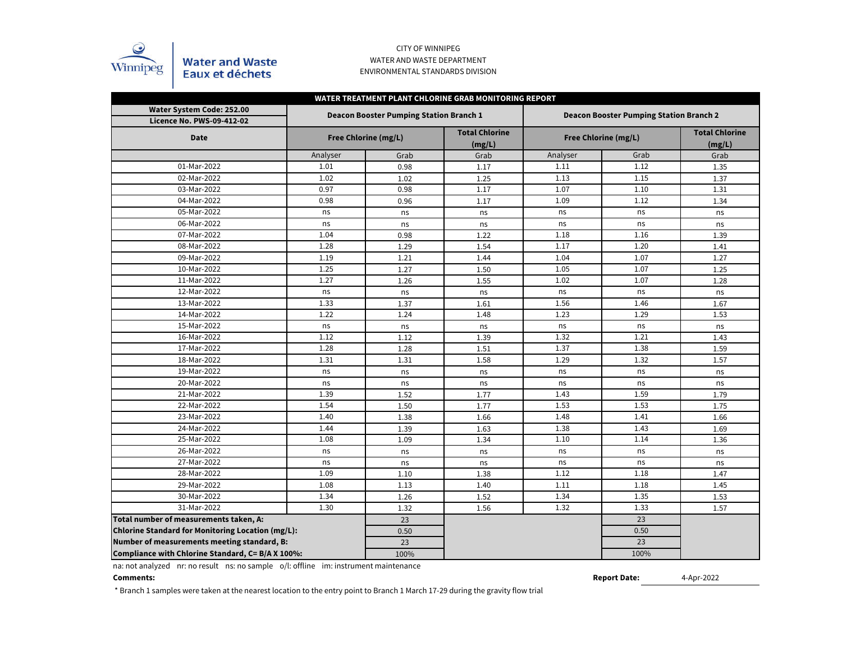

## CITY OF WINNIPEG WATER AND WASTE DEPARTMENT ENVIRONMENTAL STANDARDS DIVISION

| WATER TREATMENT PLANT CHLORINE GRAB MONITORING REPORT         |                      |                                                |                                 |                                                |                      |                                 |  |  |  |  |  |  |
|---------------------------------------------------------------|----------------------|------------------------------------------------|---------------------------------|------------------------------------------------|----------------------|---------------------------------|--|--|--|--|--|--|
| Water System Code: 252.00<br><b>Licence No. PWS-09-412-02</b> |                      | <b>Deacon Booster Pumping Station Branch 1</b> |                                 | <b>Deacon Booster Pumping Station Branch 2</b> |                      |                                 |  |  |  |  |  |  |
| <b>Date</b>                                                   | Free Chlorine (mg/L) |                                                | <b>Total Chlorine</b><br>(mg/L) |                                                | Free Chlorine (mg/L) | <b>Total Chlorine</b><br>(mg/L) |  |  |  |  |  |  |
|                                                               | Analyser             | Grab                                           | Grab                            | Analyser                                       | Grab                 | Grab                            |  |  |  |  |  |  |
| 01-Mar-2022                                                   | 1.01                 | 0.98                                           | 1.17                            | 1.11                                           | 1.12                 | 1.35                            |  |  |  |  |  |  |
| 02-Mar-2022                                                   | 1.02                 | 1.02                                           | 1.25                            | 1.13                                           | 1.15                 | 1.37                            |  |  |  |  |  |  |
| 03-Mar-2022                                                   | 0.97                 | 0.98                                           | 1.17                            | 1.07                                           | 1.10                 | 1.31                            |  |  |  |  |  |  |
| 04-Mar-2022                                                   | 0.98                 | 0.96                                           | 1.17                            | 1.09                                           | 1.12                 | 1.34                            |  |  |  |  |  |  |
| 05-Mar-2022                                                   | ns                   | ns                                             | ns                              | ns                                             | ns                   | ns                              |  |  |  |  |  |  |
| 06-Mar-2022                                                   | ns                   | ns                                             | ns                              | ns                                             | ns                   | ns                              |  |  |  |  |  |  |
| 07-Mar-2022                                                   | 1.04                 | 0.98                                           | 1.22                            | 1.18                                           | 1.16                 | 1.39                            |  |  |  |  |  |  |
| 08-Mar-2022                                                   | 1.28                 | 1.29                                           | 1.54                            | 1.17                                           | 1.20                 | 1.41                            |  |  |  |  |  |  |
| 09-Mar-2022                                                   | 1.19                 | 1.21                                           | 1.44                            | 1.04                                           | 1.07                 | 1.27                            |  |  |  |  |  |  |
| 10-Mar-2022                                                   | 1.25                 | 1.27                                           | 1.50                            | 1.05                                           | 1.07                 | 1.25                            |  |  |  |  |  |  |
| 11-Mar-2022                                                   | 1.27                 | 1.26                                           | 1.55                            | 1.02                                           | 1.07                 | 1.28                            |  |  |  |  |  |  |
| 12-Mar-2022                                                   | ns                   | ns                                             | ns                              | ns                                             | ns                   | ns                              |  |  |  |  |  |  |
| 13-Mar-2022                                                   | 1.33                 | 1.37                                           | 1.61                            | 1.56                                           | 1.46                 | 1.67                            |  |  |  |  |  |  |
| 14-Mar-2022                                                   | 1.22                 | 1.24                                           | 1.48                            | 1.23                                           | 1.29                 | 1.53                            |  |  |  |  |  |  |
| 15-Mar-2022                                                   | ns                   | ns                                             | ns                              | ns                                             | ns                   | ns                              |  |  |  |  |  |  |
| 16-Mar-2022                                                   | 1.12                 | 1.12                                           | 1.39                            | 1.32                                           | 1.21                 | 1.43                            |  |  |  |  |  |  |
| 17-Mar-2022                                                   | 1.28                 | 1.28                                           | 1.51                            | 1.37                                           | 1.38                 | 1.59                            |  |  |  |  |  |  |
| 18-Mar-2022                                                   | 1.31                 | 1.31                                           | 1.58                            | 1.29                                           | 1.32                 | 1.57                            |  |  |  |  |  |  |
| 19-Mar-2022                                                   | ns                   | ns                                             | ns                              | ns                                             | ns                   | ns                              |  |  |  |  |  |  |
| 20-Mar-2022                                                   | ns                   | ns                                             | ns                              | ns                                             | ns                   | ns                              |  |  |  |  |  |  |
| 21-Mar-2022                                                   | 1.39                 | 1.52                                           | 1.77                            | 1.43                                           | 1.59                 | 1.79                            |  |  |  |  |  |  |
| 22-Mar-2022                                                   | 1.54                 | 1.50                                           | 1.77                            | 1.53                                           | 1.53                 | 1.75                            |  |  |  |  |  |  |
| 23-Mar-2022                                                   | 1.40                 | 1.38                                           | 1.66                            | 1.48                                           | 1.41                 | 1.66                            |  |  |  |  |  |  |
| 24-Mar-2022                                                   | 1.44                 | 1.39                                           | 1.63                            | 1.38                                           | 1.43                 | 1.69                            |  |  |  |  |  |  |
| 25-Mar-2022                                                   | 1.08                 | 1.09                                           | 1.34                            | 1.10                                           | 1.14                 | 1.36                            |  |  |  |  |  |  |
| 26-Mar-2022                                                   | ns                   | ns                                             | ns                              | ns                                             | ns                   | ns                              |  |  |  |  |  |  |
| 27-Mar-2022                                                   | ns                   | ns                                             | ns                              | ns                                             | ns                   | ns                              |  |  |  |  |  |  |
| 28-Mar-2022                                                   | 1.09                 | 1.10                                           | 1.38                            | 1.12                                           | 1.18                 | 1.47                            |  |  |  |  |  |  |
| 29-Mar-2022                                                   | 1.08                 | 1.13                                           | 1.40                            | 1.11                                           | 1.18                 | 1.45                            |  |  |  |  |  |  |
| 30-Mar-2022                                                   | 1.34                 | 1.26                                           | 1.52                            | 1.34                                           | 1.35                 | 1.53                            |  |  |  |  |  |  |
| 31-Mar-2022                                                   | 1.30                 | 1.32                                           | 1.56                            | 1.32                                           | 1.33                 | 1.57                            |  |  |  |  |  |  |
| Total number of measurements taken, A:                        |                      | 23                                             |                                 |                                                | 23                   |                                 |  |  |  |  |  |  |
| Chlorine Standard for Monitoring Location (mg/L):             |                      | 0.50                                           |                                 |                                                | 0.50                 |                                 |  |  |  |  |  |  |
| Number of measurements meeting standard, B:                   |                      | 23                                             |                                 |                                                | 23                   |                                 |  |  |  |  |  |  |
| Compliance with Chlorine Standard, C= B/A X 100%:             |                      | 100%                                           |                                 |                                                | 100%                 |                                 |  |  |  |  |  |  |

na: not analyzed nr: no result ns: no sample o/l: offline im: instrument maintenance

#### **Comments:**

\* Branch 1 samples were taken at the nearest location to the entry point to Branch 1 March 17-29 during the gravity flow trial

**Report Date:**

<sup>4-</sup>Apr-2022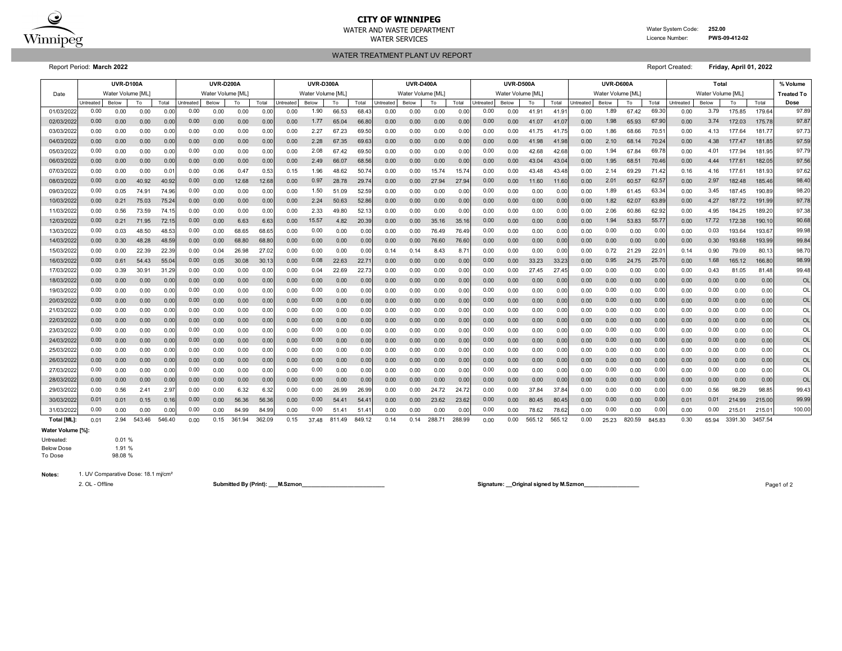

# **CITY OF WINNIPEG**

WATER TREATMENT PLANT UV REPORT WATER AND WASTE DEPARTMENT Water System Code: **252.00** WATER SERVICES **EXAMPLE SERVICES Licence Number: PWS-09-412-02** 

Report Period: **March 2022** Report Created: **Friday, April 01, 2022**

|             | <b>UVR-D100A</b> |                   |        |        | <b>UVR-D200A</b> |                   |        |        | <b>UVR-D300A</b> |                   |        |        | <b>UVR-D400A</b>  |       |        | <b>UVR-D500A</b> |           |                   |        | UVR-D600A |                  |                   |        | Total  |                   |       |         | % Volume |                   |
|-------------|------------------|-------------------|--------|--------|------------------|-------------------|--------|--------|------------------|-------------------|--------|--------|-------------------|-------|--------|------------------|-----------|-------------------|--------|-----------|------------------|-------------------|--------|--------|-------------------|-------|---------|----------|-------------------|
| Date        |                  | Water Volume [ML] |        |        |                  | Water Volume [ML] |        |        |                  | Water Volume [ML] |        |        | Water Volume [ML] |       |        |                  |           | Water Volume [ML] |        |           |                  | Water Volume [ML] |        |        | Water Volume [ML] |       |         |          | <b>Treated To</b> |
|             | Untreated        | Below             | To     | Total  | ntreated         | <b>Below</b>      | To     | Total  | <b>Jntreated</b> | Below             | To     | Total  | <b>Intreated</b>  | Below | To     | Total            | Untreated | Below             | To     | Total     | <b>Jntreated</b> | Below             | To     | Total  | Untreated         | Below | To      | Total    | Dose              |
| 01/03/202   | 0.00             | 0.00              | 0.00   | 0.00   | 0.00             | 0.00              | 0.00   | 0.0    | 0.00             | 1.90              | 66.53  | 68.4   | 0.00              | 0.00  | 0.00   | 0.00             | 0.00      | 0.00              | 41.91  | 41.9      | 0.00             | 1.89              | 67.42  | 69.30  | 0.00              | 3.79  | 175.85  | 179.64   | 97.89             |
| 02/03/202   | 0.00             | 0.00              | 0.00   | 0.00   | 0.00             | 0.00              | 0.00   | 0.00   | 0.00             | 1.77              | 65.04  | 66.8   | 0.00              | 0.00  | 0.00   | 0.00             | 0.00      | 0.00              | 41.07  | 41.07     | 0.00             | 1.98              | 65.93  | 67.9   | 0.00              | 3.74  | 172.03  | 175.78   | 97.87             |
| 03/03/202   | 0.00             | 0.00              | 0.00   | 0.00   | 0.00             | 0.00              | 0.00   | 0.00   | 0.00             | 2.27              | 67.23  | 69.5   | 0.00              | 0.00  | 0.00   | 0.00             | 0.00      | 0.00              | 41.75  | 41.7      | 0.00             | 1.86              | 68.66  | 70.5'  | 0.00              | 4.13  | 177.64  | 181.77   | 97.73             |
| 04/03/202   | 0.00             | 0.00              | 0.00   | 0.00   | 0.00             | 0.00              | 0.00   | 0.00   | 0.00             | 2.28              | 67.35  | 69.6   | 0.00              | 0.00  | 0.00   | 0.00             | 0.00      | 0.00              | 41.98  | 41.98     | 0.00             | 2.10              | 68.14  | 70.24  | 0.00              | 4.38  | 177.47  | 181.85   | 97.59             |
| 05/03/202   | 0.00             | 0.00              | 0.00   | 0.00   | 0.00             | 0.00              | 0.00   | 0.00   | 0.00             | 2.08              | 67.42  | 69.5   | 0.00              | 0.00  | 0.00   | 0.00             | 0.00      | 0.00              | 42.68  | 42.68     | 0.00             | 1.94              | 67.84  | 69.78  | 0.00              | 4.01  | 177.94  | 181.95   | 97.79             |
| 06/03/202   | 0.00             | 0.00              | 0.00   | 0.00   | 0.00             | 0.00              | 0.00   | 0.00   | 0.00             | 2.49              | 66.07  | 68.5   | 0.00              | 0.00  | 0.00   | 0.00             | 0.00      | 0.00              | 43.04  | 43.04     | 0.00             | 1.95              | 68.51  | 70.46  | 0.00              | 4.44  | 177.61  | 182.05   | 97.56             |
| 07/03/202   | 0.00             | 0.00              | 0.00   | 0.01   | 0.00             | 0.06              | 0.47   | 0.53   | 0.15             | 1.96              | 48.62  | 50.74  | 0.00              | 0.00  | 15.74  | 15.74            | 0.00      | 0.00              | 43.48  | 43.48     | 0.00             | 2.14              | 69.29  | 71.42  | 0.16              | 4.16  | 177.61  | 181.93   | 97.62             |
| 08/03/202   | 0.00             | 0.00              | 40.92  | 40.92  | 0.00             | 0.00              | 12.68  | 12.68  | 0.00             | 0.97              | 28.78  | 29.7   | 0.00              | 0.00  | 27.94  | 27.9             | 0.00      | 0.00              | 11.60  | 11.60     | 0.00             | 2.01              | 60.57  | 62.57  | 0.00              | 2.97  | 182.48  | 185.46   | 98.40             |
| 09/03/202   | 0.00             | 0.05              | 74.91  | 74.96  | 0.00             | 0.00              | 0.00   | 0.00   | 0.00             | 1.50              | 51.09  | 52.5   | 0.00              | 0.00  | 0.00   | 0.00             | 0.00      | 0.00              | 0.00   | 0.00      | 0.00             | 1.89              | 61.45  | 63.34  | 0.00              | 3.45  | 187.45  | 190.89   | 98.20             |
| 10/03/202   | 0.00             | 0.21              | 75.03  | 75.24  | 0.00             | 0.00              | 0.00   | 0.00   | 0.00             | 2.24              | 50.63  | 52.86  | 0.00              | 0.00  | 0.00   | 0.00             | 0.00      | 0.00              | 0.00   | 0.00      | 0.00             | 1.82              | 62.07  | 63.89  | 0.00              | 4.27  | 187.72  | 191.99   | 97.78             |
| 11/03/202   | 0.00             | 0.56              | 73.59  | 74.15  | 0.00             | 0.00              | 0.00   | 0.00   | 0.00             | 2.33              | 49.80  | 52.1   | 0.00              | 0.00  | 0.00   | 0.00             | 0.00      | 0.00              | 0.00   | 0.00      | 0.00             | 2.06              | 60.86  | 62.92  | 0.00              | 4.95  | 184.25  | 189.20   | 97.38             |
| 12/03/202   | 0.00             | 0.21              | 71.95  | 72.15  | 0.00             | 0.00              | 6.63   | 6.63   | 0.00             | 15.57             | 4.82   | 20.39  | 0.00              | 0.00  | 35.16  | 35.1             | 0.00      | 0.00              | 0.00   | 0.00      | 0.00             | 1.94              | 53.83  | 55.77  | 0.00              | 17.72 | 172.38  | 190.10   | 90.68             |
| 13/03/202   | 0.00             | 0.03              | 48.50  | 48.53  | 0.00             | 0.00              | 68.65  | 68.65  | 0.00             | 0.00              | 0.00   | 0.00   | 0.00              | 0.00  | 76.49  | 76.49            | 0.00      | 0.00              | 0.00   | 0.00      | 0.00             | 0.00              | 0.00   | 0.00   | 0.00              | 0.03  | 193.64  | 193.67   | 99.98             |
| 14/03/202   | 0.00             | 0.30              | 48.28  | 48.59  | 0.00             | 0.00              | 68.80  | 68.80  | 0.00             | 0.00              | 0.00   | 0.00   | 0.00              | 0.00  | 76.60  | 76.60            | 0.00      | 0.00              | 0.00   | 0.00      | 0.00             | 0.00              | 0.00   | 0.00   | 0.00              | 0.30  | 193.68  | 193.99   | 99.84             |
| 15/03/202   | 0.00             | 0.00              | 22.39  | 22.39  | 0.00             | 0.04              | 26.98  | 27.02  | 0.00             | 0.00              | 0.00   | 0.01   | 0.14              | 0.14  | 8.43   | 8.7              | 0.00      | 0.00              | 0.00   | 0.00      | 0.00             | 0.72              | 21.29  | 22.0   | 0.14              | 0.90  | 79.09   | 80.13    | 98.70             |
| 16/03/202   | 0.00             | 0.61              | 54.43  | 55.04  | 0.00             | 0.05              | 30.08  | 30.13  | 0.00             | 0.08              | 22.63  | 22.7   | 0.00              | 0.00  | 0.00   | 0.00             | 0.00      | 0.00              | 33.23  | 33.23     | 0.00             | 0.95              | 24.75  | 25.7   | 0.00              | 1.68  | 165.12  | 166.80   | 98.99             |
| 17/03/202   | 0.00             | 0.39              | 30.91  | 31.29  | 0.00             | 0.00              | 0.00   | 0.00   | 0.00             | 0.04              | 22.69  | 22.73  | 0.00              | 0.00  | 0.00   | 0.00             | 0.00      | 0.00              | 27.45  | 27.45     | 0.00             | 0.00              | 0.00   | 0.00   | 0.00              | 0.43  | 81.05   | 81.48    | 99.48             |
| 18/03/202   | 0.00             | 0.00              | 0.00   | 0.00   | 0.00             | 0.00              | 0.00   | 0.00   | 0.00             | 0.00              | 0.00   | 0.0    | 0.00              | 0.00  | 0.00   | 0.00             | 0.00      | 0.00              | 0.00   | 0.00      | 0.00             | 0.00              | 0.00   | 0.00   | 0.00              | 0.00  | 0.00    | 0.00     | OL                |
| 19/03/202   | 0.00             | 0.00              | 0.00   | 0.00   | 0.00             | 0.00              | 0.00   | 0.00   | 0.00             | 0.00              | 0.00   | 0.00   | 0.00              | 0.00  | 0.00   | 0.00             | 0.00      | 0.00              | 0.00   | 0.00      | 0.00             | 0.00              | 0.00   | 0.00   | 0.00              | 0.00  | 0.00    | 0.00     | OL                |
| 20/03/202   | 0.00             | 0.00              | 0.00   | 0.00   | 0.00             | 0.00              | 0.00   | 0.00   | 0.00             | 0.00              | 0.00   | 0.00   | 0.00              | 0.00  | 0.00   | 0.00             | 0.00      | 0.00              | 0.00   | 0.00      | 0.00             | 0.00              | 0.00   | 0.00   | 0.00              | 0.00  | 0.00    | 0.00     | OL                |
| 21/03/202   | 0.00             | 0.00              | 0.00   | 0.00   | 0.00             | 0.00              | 0.00   | 0.01   | 0.00             | 0.00              | 0.00   | 0.0    | 0.00              | 0.00  | 0.00   | 0.00             | 0.00      | 0.00              | 0.00   | 0.00      | 0.00             | 0.00              | 0.00   | 0.00   | 0.00              | 0.00  | 0.00    | 0.00     | OL                |
| 22/03/202   | 0.00             | 0.00              | 0.00   | 0.00   | 0.00             | 0.00              | 0.00   | 0.00   | 0.00             | 0.00              | 0.00   | 0.00   | 0.00              | 0.00  | 0.00   | 0.00             | 0.00      | 0.00              | 0.00   | 0.00      | 0.00             | 0.00              | 0.00   | 0.00   | 0.00              | 0.00  | 0.00    | 0.00     | OL                |
| 23/03/202   | 0.00             | 0.00              | 0.00   | 0.00   | 0.00             | 0.00              | 0.00   | 0.00   | 0.00             | 0.00              | 0.00   | 0.00   | 0.00              | 0.00  | 0.00   | 0.00             | 0.00      | 0.00              | 0.00   | 0.00      | 0.00             | 0.00              | 0.00   | 0.00   | 0.00              | 0.00  | 0.00    | 0.00     | OL                |
| 24/03/202   | 0.00             | 0.00              | 0.00   | 0.00   | 0.00             | 0.00              | 0.00   | 0.00   | 0.00             | 0.00              | 0.00   | 0.00   | 0.00              | 0.00  | 0.00   | 0.00             | 0.00      | 0.00              | 0.00   | 0.00      | 0.00             | 0.00              | 0.00   | 0.00   | 0.00              | 0.00  | 0.00    | 0.00     | <b>OL</b>         |
| 25/03/202   | 0.00             | 0.00              | 0.00   | 0.00   | 0.00             | 0.00              | 0.00   | 0.00   | 0.00             | 0.00              | 0.00   | 0.00   | 0.00              | 0.00  | 0.00   | 0.00             | 0.00      | 0.00              | 0.00   | 0.00      | 0.00             | 0.00              | 0.00   | 0.00   | 0.00              | 0.00  | 0.00    | 0.00     | OL                |
| 26/03/202   | 0.00             | 0.00              | 0.00   | 0.00   | 0.00             | 0.00              | 0.00   | 0.00   | 0.00             | 0.00              | 0.00   | 0.00   | 0.00              | 0.00  | 0.00   | 0.00             | 0.00      | 0.00              | 0.00   | 0.00      | 0.00             | 0.00              | 0.00   | 0.00   | 0.00              | 0.00  | 0.00    | 0.00     | OL                |
| 27/03/202   | 0.00             | 0.00              | 0.00   | 0.00   | 0.00             | 0.00              | 0.00   | 0.00   | 0.00             | 0.00              | 0.00   | 0.0    | 0.00              | 0.00  | 0.00   | 0.00             | 0.00      | 0.00              | 0.00   | 0.00      | 0.00             | 0.00              | 0.00   | 0.00   | 0.00              | 0.00  | 0.00    | 0.00     | OL                |
| 28/03/202   | 0.00             | 0.00              | 0.00   | 0.00   | 0.00             | 0.00              | 0.00   | 0.00   | 0.00             | 0.00              | 0.00   | 0.00   | 0.00              | 0.00  | 0.00   | 0.00             | 0.00      | 0.00              | 0.00   | 0.00      | 0.00             | 0.00              | 0.00   | 0.00   | 0.00              | 0.00  | 0.00    | 0.00     | OL                |
| 29/03/202   | 0.00             | 0.56              | 2.41   | 2.97   | 0.00             | 0.00              | 6.32   | 6.32   | 0.00             | 0.00              | 26.99  | 26.9   | 0.00              | 0.00  | 24.72  | 24.72            | 0.00      | 0.00              | 37.84  | 37.84     | 0.00             | 0.00              | 0.00   | 0.00   | 0.00              | 0.56  | 98.29   | 98.85    | 99.43             |
| 30/03/202   | 0.01             | 0.01              | 0.15   | 0.16   | 0.00             | 0.00              | 56.36  | 56.36  | 0.00             | 0.00              | 54.41  | 54.4   | 0.00              | 0.00  | 23.62  | 23.62            | 0.00      | 0.00              | 80.45  | 80.45     | 0.00             | 0.00              | 0.00   | 0.00   | 0.01              | 0.01  | 214.99  | 215.00   | 99.99             |
| 31/03/202   | 0.00             | 0.00              | 0.00   | 0.00   | 0.00             | 0.00              | 84.99  | 84.99  | 0.00             | 0.00              | 51.41  | 51.4   | 0.00              | 0.00  | 0.00   | 0.00             | 0.00      | 0.00              | 78.62  | 78.62     | 0.00             | 0.00              | 0.00   | 0.00   | 0.00              | 0.00  | 215.01  | 215.0    | 100.00            |
| Total [ML]: | 0.01             | 2.94              | 543.46 | 546.40 | 0.00             | 0.15              | 361.94 | 362.09 | 0.15             | 37.48             | 811.49 | 849.12 | 0.14              | 0.14  | 288.71 | 288.99           | 0.00      | 0.00              | 565.12 | 565.12    | 0.00             | 25.23             | 820.59 | 845.83 | 0.30              | 65.94 | 3391.30 | 3457.54  |                   |

**Water Volume [%]:**

#### Untreated: 0.01 %

Below Dose 1.91 %<br>To Dose 98.08 %

**Notes:** 1. UV Comparative Dose: 18.1 mj/cm²

98.08 %

2. OL - Offline **Submitted By (Print): \_\_\_M.Szmon\_\_\_\_\_\_\_\_\_\_\_\_\_\_\_\_\_\_\_\_\_\_\_\_\_\_\_ Signature: \_\_Original signed by M.Szmon\_\_\_\_\_\_\_\_\_\_\_\_\_\_\_\_\_\_** Page1 of 2